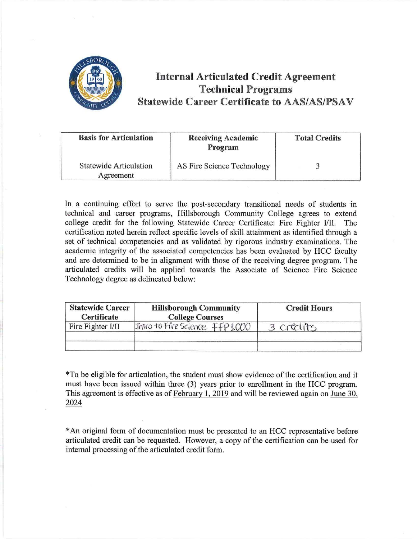

## **Internal Articulated Credit Agreement Technical Programs Statewide Career Certificate to AAS/AS/PSAV**

| <b>Basis for Articulation</b>              | <b>Receiving Academic</b><br>Program | <b>Total Credits</b> |
|--------------------------------------------|--------------------------------------|----------------------|
| <b>Statewide Articulation</b><br>Agreement | AS Fire Science Technology           |                      |

In a continuing effort to serve the post-secondary transitional needs of students in technical and career programs, Hillsborough Community College agrees to extend college credit for the following Statewide Career Certificate: Fire Fighter I/II. The certification noted herein reflect specific levels of skill attainment as identified through a set of technical competencies and as validated by rigorous industry examinations. The academic integrity of the associated competencies has been evaluated by HCC faculty and are determined to be in alignment with those of the receiving degree program. The articulated credits will be applied towards the Associate of Science Fire Science Technology degree as delineated below:

| <b>Statewide Career</b><br><b>Certificate</b> | <b>Hillsborough Community</b><br><b>College Courses</b> | <b>Credit Hours</b> |
|-----------------------------------------------|---------------------------------------------------------|---------------------|
| Fire Fighter I/II                             | Intro to Fire Science FFP 1000                          | 3 credits           |
|                                               |                                                         |                     |

\*To be eligible for articulation, the student must show evidence of the certification and it must have been issued within three (3) years prior to enrollment in the HCC program. This agreement is effective as of February 1, 2019 and will be reviewed again on June 30, 2024

\* An original form of documentation must be presented to an HCC representative before articulated credit can be requested. However, a copy of the certification can be used for internal processing of the articulated credit form.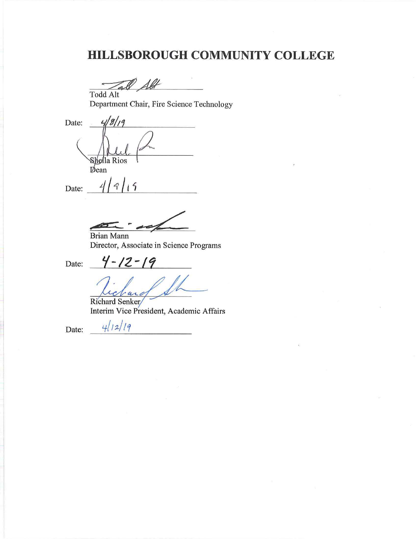# **HILLSBOROUGH COMMUNITY COLLEGE**

Slf

Todd Alt Department Chair, Fire Science Technology

 $4/8/19$ Date: Shella Rios Dean<br>Date:  $\frac{4}{7}$   $\frac{4}{7}$   $\frac{1}{2}$ 

*.d?C-~~* 

Brian Mann Director, Associate in Science Programs

Date:  $4 - 12 - 19$ 

 $4|12|19$ 

Richard Senker/ Interim Vice President, Academic Affairs

Date: